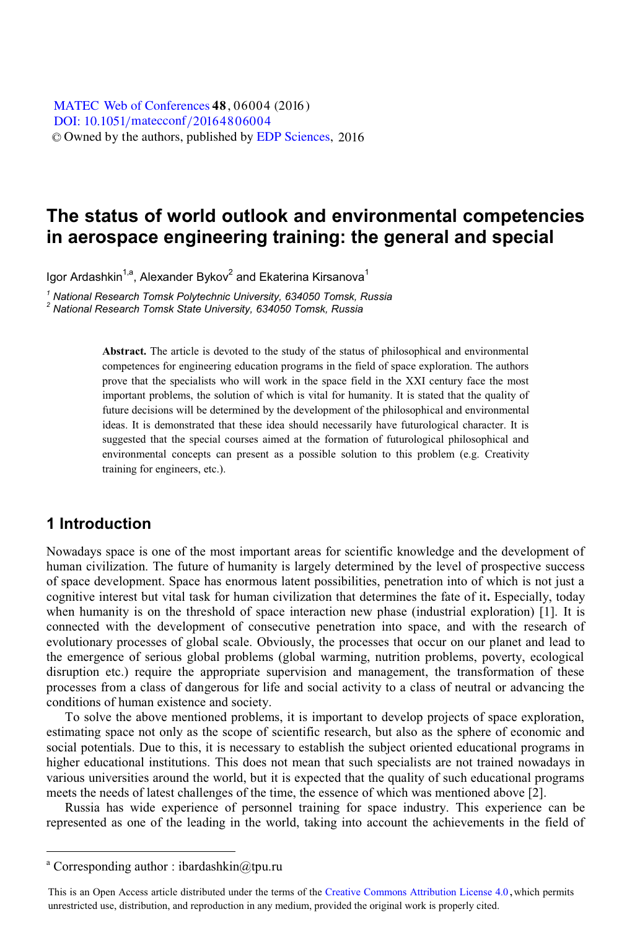**MATEC [Web of Conferences](http://www.matec-conferences.org) 48, 06004 (2016)** [DOI: 10.1051](http://dx.doi.org/10.1051/matecconf/20164806004)/matecconf/20164806004 © Owned by the authors, published by [EDP Sciences,](http://www.edpsciences.org) 2016

# **The status of world outlook and environmental competencies in aerospace engineering training: the general and special**

Igor Ardashkin<sup>1,a</sup>, Alexander Bykov<sup>2</sup> and Ekaterina Kirsanova<sup>1</sup>

*1 National Research Tomsk Polytechnic University, 634050 Tomsk, Russia 2 National Research Tomsk State University, 634050 Tomsk, Russia* 

> **Abstract.** The article is devoted to the study of the status of philosophical and environmental competences for engineering education programs in the field of space exploration. The authors prove that the specialists who will work in the space field in the XXI century face the most important problems, the solution of which is vital for humanity. It is stated that the quality of future decisions will be determined by the development of the philosophical and environmental ideas. It is demonstrated that these idea should necessarily have futurological character. It is suggested that the special courses aimed at the formation of futurological philosophical and environmental concepts can present as a possible solution to this problem (e.g. Creativity training for engineers, etc.).

#### **1 Introduction**

 $\overline{a}$ 

Nowadays space is one of the most important areas for scientific knowledge and the development of human civilization. The future of humanity is largely determined by the level of prospective success of space development. Space has enormous latent possibilities, penetration into of which is not just a cognitive interest but vital task for human civilization that determines the fate of it**.** Especially, today when humanity is on the threshold of space interaction new phase (industrial exploration) [1]. It is connected with the development of consecutive penetration into space, and with the research of evolutionary processes of global scale. Obviously, the processes that occur on our planet and lead to the emergence of serious global problems (global warming, nutrition problems, poverty, ecological disruption etc.) require the appropriate supervision and management, the transformation of these processes from a class of dangerous for life and social activity to a class of neutral or advancing the conditions of human existence and society.

To solve the above mentioned problems, it is important to develop projects of space exploration, estimating space not only as the scope of scientific research, but also as the sphere of economic and social potentials. Due to this, it is necessary to establish the subject oriented educational programs in higher educational institutions. This does not mean that such specialists are not trained nowadays in various universities around the world, but it is expected that the quality of such educational programs meets the needs of latest challenges of the time, the essence of which was mentioned above [2].

Russia has wide experience of personnel training for space industry. This experience can be represented as one of the leading in the world, taking into account the achievements in the field of

<sup>&</sup>lt;sup>a</sup> Corresponding author : ibardashkin@tpu.ru

This is an Open Access article distributed under the terms of the Creative Commons Attribution License 4.0, which permits unrestricted use, distribution, and reproduction in any medium, provided the original work is properly cited.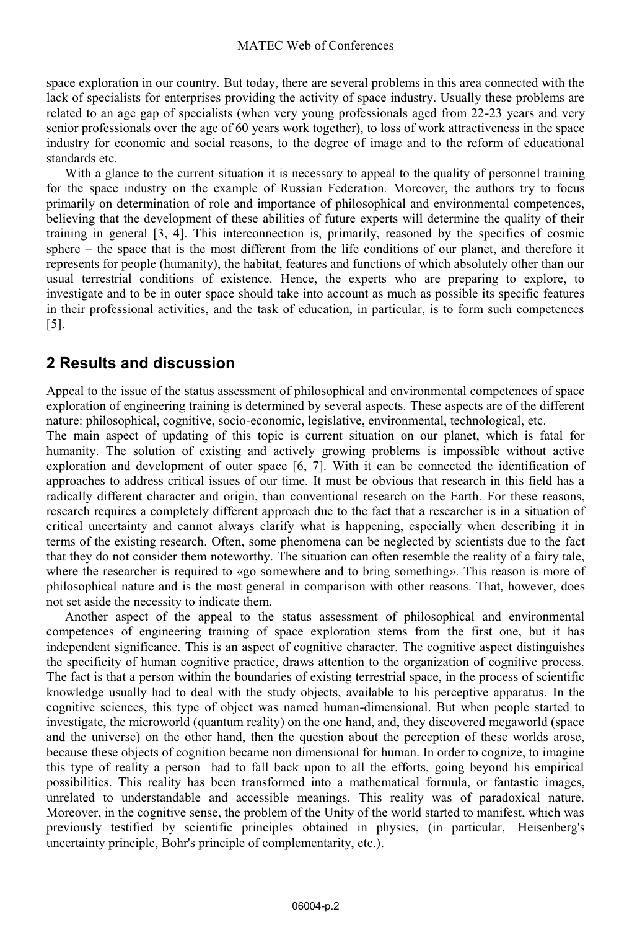space exploration in our country. But today, there are several problems in this area connected with the lack of specialists for enterprises providing the activity of space industry. Usually these problems are related to an age gap of specialists (when very young professionals aged from 22-23 years and very senior professionals over the age of 60 years work together), to loss of work attractiveness in the space industry for economic and social reasons, to the degree of image and to the reform of educational standards etc.

With a glance to the current situation it is necessary to appeal to the quality of personnel training for the space industry on the example of Russian Federation. Moreover, the authors try to focus primarily on determination of role and importance of philosophical and environmental competences, believing that the development of these abilities of future experts will determine the quality of their training in general [3, 4]. This interconnection is, primarily, reasoned by the specifics of cosmic sphere – the space that is the most different from the life conditions of our planet, and therefore it represents for people (humanity), the habitat, features and functions of which absolutely other than our usual terrestrial conditions of existence. Hence, the experts who are preparing to explore, to investigate and to be in outer space should take into account as much as possible its specific features in their professional activities, and the task of education, in particular, is to form such competences [5].

### **2 Results and discussion**

Appeal to the issue of the status assessment of philosophical and environmental competences of space exploration of engineering training is determined by several aspects. These aspects are of the different nature: philosophical, cognitive, socio-economic, legislative, environmental, technological, etc.

The main aspect of updating of this topic is current situation on our planet, which is fatal for humanity. The solution of existing and actively growing problems is impossible without active exploration and development of outer space [6, 7]. With it can be connected the identification of approaches to address critical issues of our time. It must be obvious that research in this field has a radically different character and origin, than conventional research on the Earth. For these reasons, research requires a completely different approach due to the fact that a researcher is in a situation of critical uncertainty and cannot always clarify what is happening, especially when describing it in terms of the existing research. Often, some phenomena can be neglected by scientists due to the fact that they do not consider them noteworthy. The situation can often resemble the reality of a fairy tale, where the researcher is required to «go somewhere and to bring something». This reason is more of philosophical nature and is the most general in comparison with other reasons. That, however, does not set aside the necessity to indicate them.

Another aspect of the appeal to the status assessment of philosophical and environmental competences of engineering training of space exploration stems from the first one, but it has independent significance. This is an aspect of cognitive character. The cognitive aspect distinguishes the specificity of human cognitive practice, draws attention to the organization of cognitive process. The fact is that a person within the boundaries of existing terrestrial space, in the process of scientific knowledge usually had to deal with the study objects, available to his perceptive apparatus. In the cognitive sciences, this type of object was named human-dimensional. But when people started to investigate, the microworld (quantum reality) on the one hand, and, they discovered megaworld (space and the universe) on the other hand, then the question about the perception of these worlds arose, because these objects of cognition became non dimensional for human. In order to cognize, to imagine this type of reality a person had to fall back upon to all the efforts, going beyond his empirical possibilities. This reality has been transformed into a mathematical formula, or fantastic images, unrelated to understandable and accessible meanings. This reality was of paradoxical nature. Moreover, in the cognitive sense, the problem of the Unity of the world started to manifest, which was previously testified by scientific principles obtained in physics, (in particular, Heisenberg's uncertainty principle, Bohr's principle of complementarity, etc.).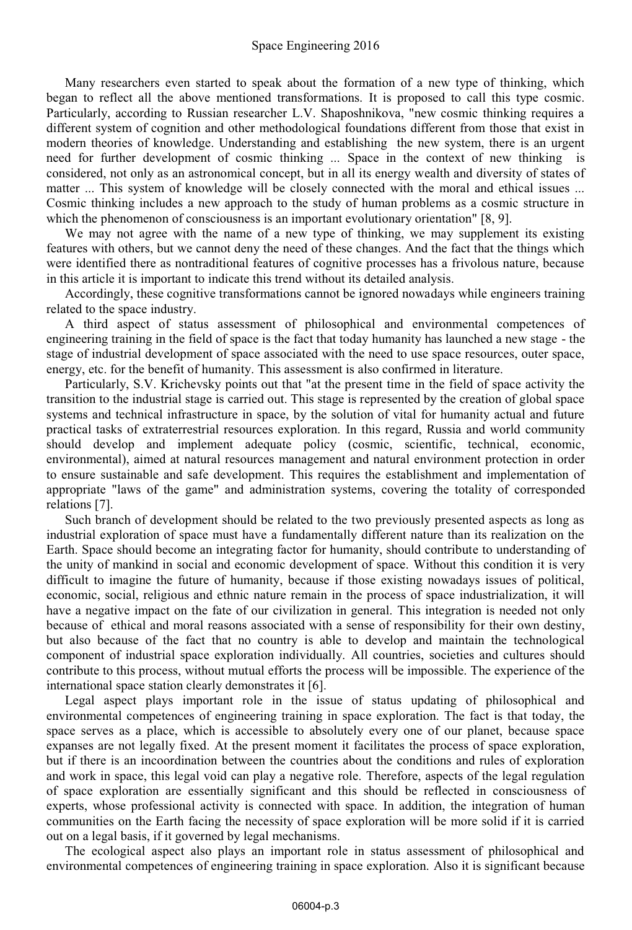Many researchers even started to speak about the formation of a new type of thinking, which began to reflect all the above mentioned transformations. It is proposed to call this type cosmic. Particularly, according to Russian researcher L.V. Shaposhnikova, "new cosmic thinking requires a different system of cognition and other methodological foundations different from those that exist in modern theories of knowledge. Understanding and establishing the new system, there is an urgent need for further development of cosmic thinking ... Space in the context of new thinking is considered, not only as an astronomical concept, but in all its energy wealth and diversity of states of matter ... This system of knowledge will be closely connected with the moral and ethical issues ... Cosmic thinking includes a new approach to the study of human problems as a cosmic structure in which the phenomenon of consciousness is an important evolutionary orientation" [8, 9].

We may not agree with the name of a new type of thinking, we may supplement its existing features with others, but we cannot deny the need of these changes. And the fact that the things which were identified there as nontraditional features of cognitive processes has a frivolous nature, because in this article it is important to indicate this trend without its detailed analysis.

Accordingly, these cognitive transformations cannot be ignored nowadays while engineers training related to the space industry.

A third aspect of status assessment of philosophical and environmental competences of engineering training in the field of space is the fact that today humanity has launched a new stage - the stage of industrial development of space associated with the need to use space resources, outer space, energy, etc. for the benefit of humanity. This assessment is also confirmed in literature.

Particularly, S.V. Krichevsky points out that "at the present time in the field of space activity the transition to the industrial stage is carried out. This stage is represented by the creation of global space systems and technical infrastructure in space, by the solution of vital for humanity actual and future practical tasks of extraterrestrial resources exploration. In this regard, Russia and world community should develop and implement adequate policy (cosmic, scientific, technical, economic, environmental), aimed at natural resources management and natural environment protection in order to ensure sustainable and safe development. This requires the establishment and implementation of appropriate "laws of the game" and administration systems, covering the totality of corresponded relations [7].

Such branch of development should be related to the two previously presented aspects as long as industrial exploration of space must have a fundamentally different nature than its realization on the Earth. Space should become an integrating factor for humanity, should contribute to understanding of the unity of mankind in social and economic development of space. Without this condition it is very difficult to imagine the future of humanity, because if those existing nowadays issues of political, economic, social, religious and ethnic nature remain in the process of space industrialization, it will have a negative impact on the fate of our civilization in general. This integration is needed not only because of ethical and moral reasons associated with a sense of responsibility for their own destiny, but also because of the fact that no country is able to develop and maintain the technological component of industrial space exploration individually. All countries, societies and cultures should contribute to this process, without mutual efforts the process will be impossible. The experience of the international space station clearly demonstrates it [6].

Legal aspect plays important role in the issue of status updating of philosophical and environmental competences of engineering training in space exploration. The fact is that today, the space serves as a place, which is accessible to absolutely every one of our planet, because space expanses are not legally fixed. At the present moment it facilitates the process of space exploration, but if there is an incoordination between the countries about the conditions and rules of exploration and work in space, this legal void can play a negative role. Therefore, aspects of the legal regulation of space exploration are essentially significant and this should be reflected in consciousness of experts, whose professional activity is connected with space. In addition, the integration of human communities on the Earth facing the necessity of space exploration will be more solid if it is carried out on a legal basis, if it governed by legal mechanisms.

The ecological aspect also plays an important role in status assessment of philosophical and environmental competences of engineering training in space exploration. Also it is significant because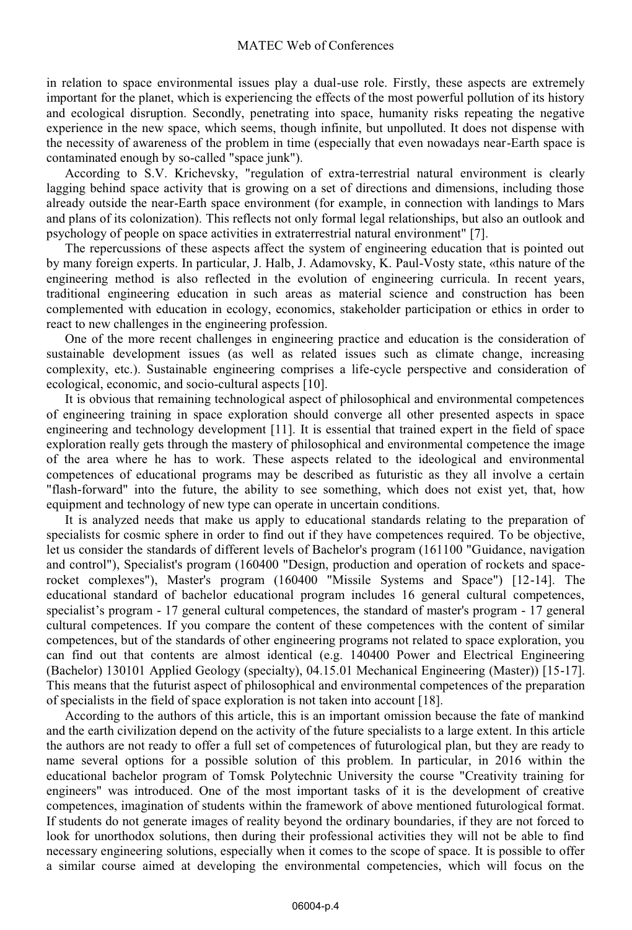in relation to space environmental issues play a dual-use role. Firstly, these aspects are extremely important for the planet, which is experiencing the effects of the most powerful pollution of its history and ecological disruption. Secondly, penetrating into space, humanity risks repeating the negative experience in the new space, which seems, though infinite, but unpolluted. It does not dispense with the necessity of awareness of the problem in time (especially that even nowadays near-Earth space is contaminated enough by so-called "space junk").

According to S.V. Krichevsky, "regulation of extra-terrestrial natural environment is clearly lagging behind space activity that is growing on a set of directions and dimensions, including those already outside the near-Earth space environment (for example, in connection with landings to Mars and plans of its colonization). This reflects not only formal legal relationships, but also an outlook and psychology of people on space activities in extraterrestrial natural environment" [7].

The repercussions of these aspects affect the system of engineering education that is pointed out by many foreign experts. In particular, J. Halb, J. Adamovsky, K. Paul-Vosty state, «this nature of the engineering method is also reflected in the evolution of engineering curricula. In recent years, traditional engineering education in such areas as material science and construction has been complemented with education in ecology, economics, stakeholder participation or ethics in order to react to new challenges in the engineering profession.

One of the more recent challenges in engineering practice and education is the consideration of sustainable development issues (as well as related issues such as climate change, increasing complexity, etc.). Sustainable engineering comprises a life-cycle perspective and consideration of ecological, economic, and socio-cultural aspects [10].

It is obvious that remaining technological aspect of philosophical and environmental competences of engineering training in space exploration should converge all other presented aspects in space engineering and technology development [11]. It is essential that trained expert in the field of space exploration really gets through the mastery of philosophical and environmental competence the image of the area where he has to work. These aspects related to the ideological and environmental competences of educational programs may be described as futuristic as they all involve a certain "flash-forward" into the future, the ability to see something, which does not exist yet, that, how equipment and technology of new type can operate in uncertain conditions.

It is analyzed needs that make us apply to educational standards relating to the preparation of specialists for cosmic sphere in order to find out if they have competences required. To be objective, let us consider the standards of different levels of Bachelor's program (161100 "Guidance, navigation and control"), Specialist's program (160400 "Design, production and operation of rockets and spacerocket complexes"), Master's program (160400 "Missile Systems and Space") [12-14]. The educational standard of bachelor educational program includes 16 general cultural competences, specialist's program - 17 general cultural competences, the standard of master's program - 17 general cultural competences. If you compare the content of these competences with the content of similar competences, but of the standards of other engineering programs not related to space exploration, you can find out that contents are almost identical (e.g. 140400 Power and Electrical Engineering (Bachelor) 130101 Applied Geology (specialty), 04.15.01 Mechanical Engineering (Master)) [15-17]. This means that the futurist aspect of philosophical and environmental competences of the preparation of specialists in the field of space exploration is not taken into account [18].

According to the authors of this article, this is an important omission because the fate of mankind and the earth civilization depend on the activity of the future specialists to a large extent. In this article the authors are not ready to offer a full set of competences of futurological plan, but they are ready to name several options for a possible solution of this problem. In particular, in 2016 within the educational bachelor program of Tomsk Polytechnic University the course "Creativity training for engineers" was introduced. One of the most important tasks of it is the development of creative competences, imagination of students within the framework of above mentioned futurological format. If students do not generate images of reality beyond the ordinary boundaries, if they are not forced to look for unorthodox solutions, then during their professional activities they will not be able to find necessary engineering solutions, especially when it comes to the scope of space. It is possible to offer a similar course aimed at developing the environmental competencies, which will focus on the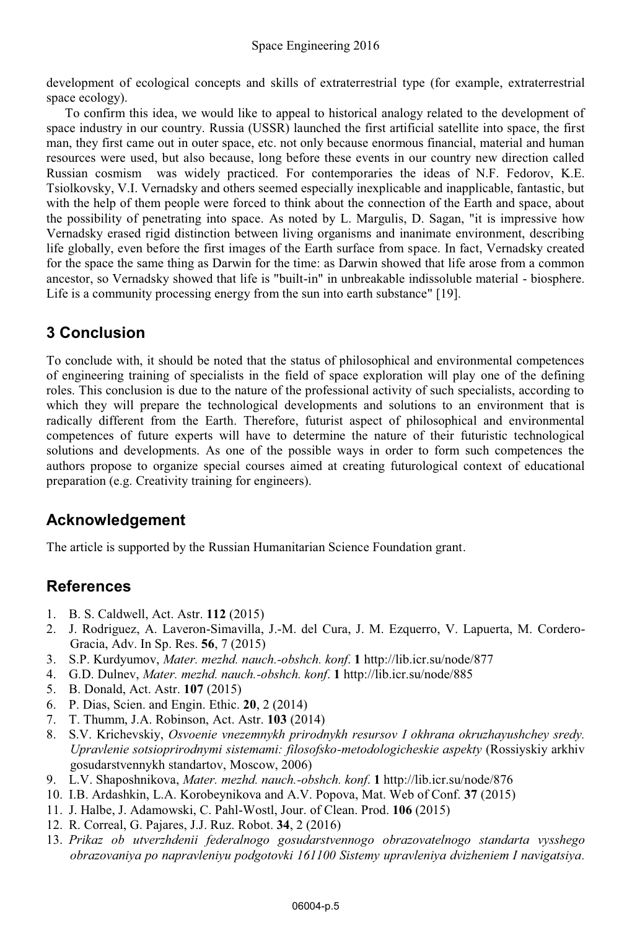development of ecological concepts and skills of extraterrestrial type (for example, extraterrestrial space ecology).

To confirm this idea, we would like to appeal to historical analogy related to the development of space industry in our country. Russia (USSR) launched the first artificial satellite into space, the first man, they first came out in outer space, etc. not only because enormous financial, material and human resources were used, but also because, long before these events in our country new direction called Russian cosmism was widely practiced. For contemporaries the ideas of N.F. Fedorov, K.E. Tsiolkovsky, V.I. Vernadsky and others seemed especially inexplicable and inapplicable, fantastic, but with the help of them people were forced to think about the connection of the Earth and space, about the possibility of penetrating into space. As noted by L. Margulis, D. Sagan, "it is impressive how Vernadsky erased rigid distinction between living organisms and inanimate environment, describing life globally, even before the first images of the Earth surface from space. In fact, Vernadsky created for the space the same thing as Darwin for the time: as Darwin showed that life arose from a common ancestor, so Vernadsky showed that life is "built-in" in unbreakable indissoluble material - biosphere. Life is a community processing energy from the sun into earth substance" [19].

## **3 Conclusion**

To conclude with, it should be noted that the status of philosophical and environmental competences of engineering training of specialists in the field of space exploration will play one of the defining roles. This conclusion is due to the nature of the professional activity of such specialists, according to which they will prepare the technological developments and solutions to an environment that is radically different from the Earth. Therefore, futurist aspect of philosophical and environmental competences of future experts will have to determine the nature of their futuristic technological solutions and developments. As one of the possible ways in order to form such competences the authors propose to organize special courses aimed at creating futurological context of educational preparation (e.g. Creativity training for engineers).

## **Acknowledgement**

The article is supported by the Russian Humanitarian Science Foundation grant.

### **References**

- 1. B. S. Caldwell, Act. Astr. **112** (2015)
- 2. J. Rodriguez, A. Laveron-Simavilla, J.-M. del Cura, J. M. Ezquerro, V. Lapuerta, M. Cordero-Gracia, Adv. In Sp. Res. **56**, 7 (2015)
- 3. S.P. Kurdyumov, *Mater. mezhd. nauch.-obshch. konf*. **1** http://lib.icr.su/node/877
- 4. G.D. Dulnev, *Mater. mezhd. nauch.-obshch. konf*. **1** http://lib.icr.su/node/885
- 5. B. Donald, Act. Astr. **107** (2015)
- 6. P. Dias, Scien. and Engin. Ethic. **20**, 2 (2014)
- 7. T. Thumm, J.A. Robinson, Act. Astr. **103** (2014)
- 8. S.V. Krichevskiy, *Osvoenie vnezemnykh prirodnykh resursov I okhrana okruzhayushchey sredy. Upravlenie sotsioprirodnymi sistemami: filosofsko-metodologicheskie aspekty* (Rossiyskiy arkhiv gosudarstvennykh standartov, Moscow, 2006)
- 9. L.V. Shaposhnikova, *Mater. mezhd. nauch.-obshch. konf*. **1** http://lib.icr.su/node/876
- 10. I.B. Ardashkin, L.A. Korobeynikova and A.V. Popova, Mat. Web of Conf. **37** (2015)
- 11. J. Halbe, J. Adamowski, C. Pahl-Wostl, Jour. of Clean. Prod. **106** (2015)
- 12. R. Correal, G. Pajares, J.J. Ruz. Robot. **34**, 2 (2016)
- 13. *Prikaz ob utverzhdenii federalnogo gosudarstvennogo obrazovatelnogo standarta vysshego obrazovaniya po napravleniyu podgotovki 161100 Sistemy upravleniya dvizheniem I navigatsiya.*